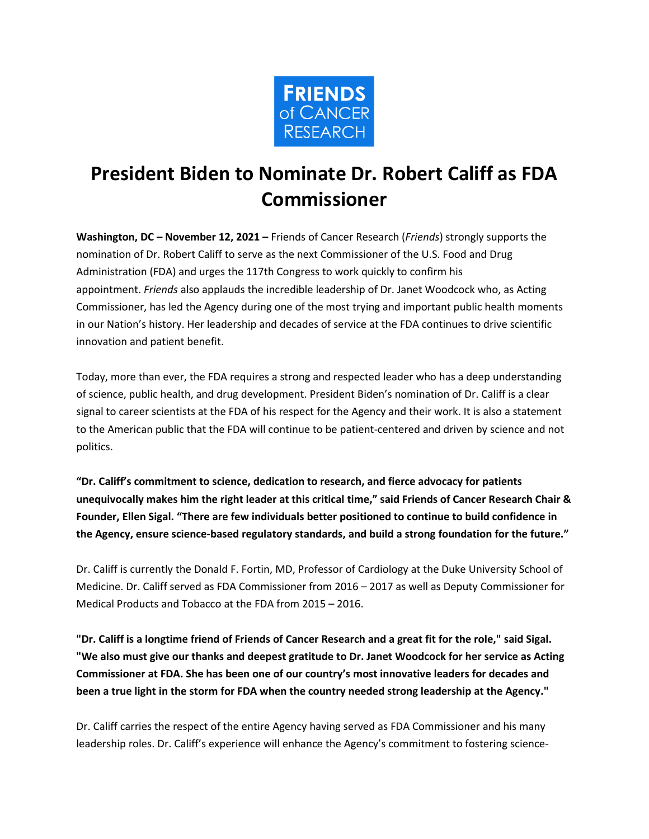

## **President Biden to Nominate Dr. Robert Califf as FDA Commissioner**

**Washington, DC – November 12, 2021 –** Friends of Cancer Research (*Friends*) strongly supports the nomination of Dr. Robert Califf to serve as the next Commissioner of the U.S. Food and Drug Administration (FDA) and urges the 117th Congress to work quickly to confirm his appointment. *Friends* also applauds the incredible leadership of Dr. Janet Woodcock who, as Acting Commissioner, has led the Agency during one of the most trying and important public health moments in our Nation's history. Her leadership and decades of service at the FDA continues to drive scientific innovation and patient benefit.

Today, more than ever, the FDA requires a strong and respected leader who has a deep understanding of science, public health, and drug development. President Biden's nomination of Dr. Califf is a clear signal to career scientists at the FDA of his respect for the Agency and their work. It is also a statement to the American public that the FDA will continue to be patient-centered and driven by science and not politics.

**"Dr. Califf's commitment to science, dedication to research, and fierce advocacy for patients unequivocally makes him the right leader at this critical time," said Friends of Cancer Research Chair & Founder, Ellen Sigal. "There are few individuals better positioned to continue to build confidence in the Agency, ensure science-based regulatory standards, and build a strong foundation for the future."**

Dr. Califf is currently the Donald F. Fortin, MD, Professor of Cardiology at the Duke University School of Medicine. Dr. Califf served as FDA Commissioner from 2016 – 2017 as well as Deputy Commissioner for Medical Products and Tobacco at the FDA from 2015 – 2016.

"Dr. Califf is a longtime friend of Friends of Cancer Research and a great fit for the role," said Sigal. "We also must give our thanks and deepest gratitude to Dr. Janet Woodcock for her service as Acting **Commissioner at FDA. She has been one of our country's most innovative leaders for decades and been a true light in the storm for FDA when the country needed strong leadership at the Agency."**

Dr. Califf carries the respect of the entire Agency having served as FDA Commissioner and his many leadership roles. Dr. Califf's experience will enhance the Agency's commitment to fostering science-